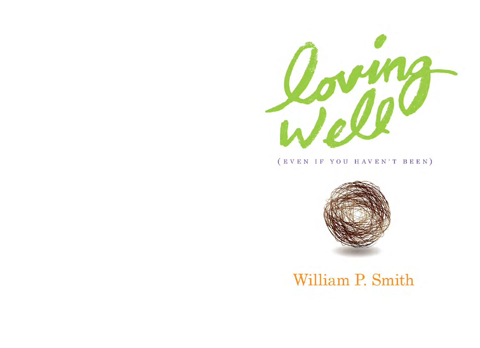

### (EVEN IF YOU HAVEN'T BEEN)



## William P. Smith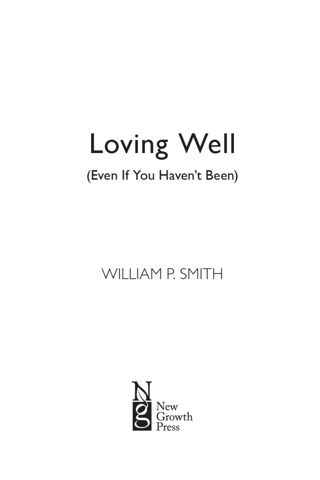# Loving Well

### (Even If You Haven't Been)

### WILLIAM P. SMITH

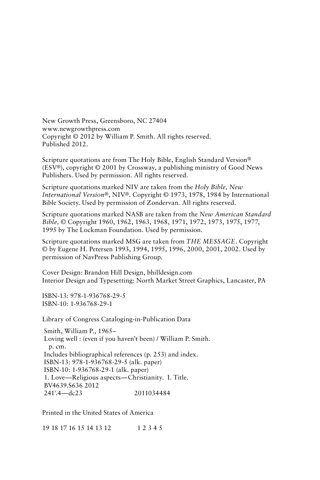New Growth Press, Greensboro, NC 27404 www.newgrowthpress.com Copyright © 2012 by William P. Smith. All rights reserved. Published 2012.

Scripture quotations are from The Holy Bible, English Standard Version®  $(ESV<sup>®</sup>)$ , copyright  $© 2001$  by Crossway, a publishing ministry of Good News Publishers. Used by permission. All rights reserved.

Scripture quotations marked NIV are taken from the *Holy Bible, New International Version*®, NIV®. Copyright © 1973, 1978, 1984 by International Bible Society. Used by permission of Zondervan. All rights reserved.

Scripture quotations marked NASB are taken from the *New American Standard Bible, ©* Copyright 1960, 1962, 1963, 1968, 1971, 1972, 1973, 1975, 1977, 1995 by The Lockman Foundation. Used by permission.

Scripture quotations marked MSG are taken from *THE MESSAGE*. Copyright © by Eugene H. Petersen 1993, 1994, 1995, 1996, 2000, 2001, 2002. Used by permission of NavPress Publishing Group.

Cover Design: Brandon Hill Design, bhilldesign.com Interior Design and Typesetting: North Market Street Graphics, Lancaster, PA

ISBN-13: 978-1-936768-29-5 ISBN-10: 1-936768-29-1

Library of Congress Cataloging-in-Publication Data

 Smith, William P., 1965– Loving well : (even if you haven't been) / William P. Smith. p. cm. Includes bibliographical references (p. 253) and index. ISBN-13: 978-1-936768-29-5 (alk. paper) ISBN-10: 1-936768-29-1 (alk. paper) 1. Love—Religious aspects—Christianity. I. Title. BV4639.S636 2012 241'.4—dc23 2011034484

Printed in the United States of America

19 18 17 16 15 14 13 12 1 2 3 4 5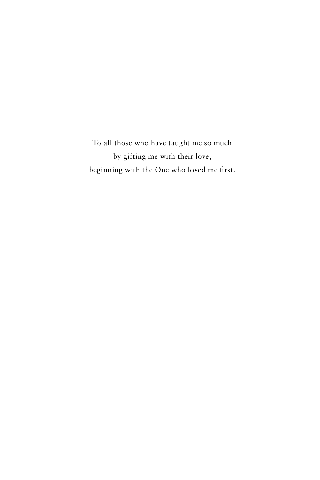To all those who have taught me so much by gifting me with their love, beginning with the One who loved me first.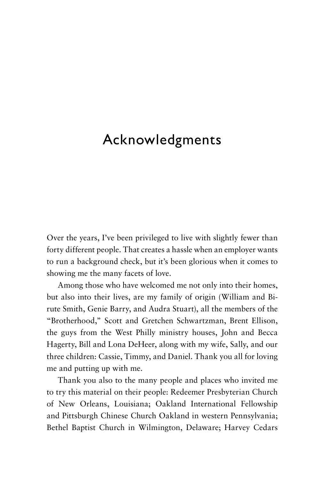### Acknowledgments

Over the years, I've been privileged to live with slightly fewer than forty different people. That creates a hassle when an employer wants to run a background check, but it's been glorious when it comes to showing me the many facets of love.

Among those who have welcomed me not only into their homes, but also into their lives, are my family of origin (William and Birute Smith, Genie Barry, and Audra Stuart), all the members of the "Brotherhood," Scott and Gretchen Schwartzman, Brent Ellison, the guys from the West Philly ministry houses, John and Becca Hagerty, Bill and Lona DeHeer, along with my wife, Sally, and our three children: Cassie, Timmy, and Daniel. Thank you all for loving me and putting up with me.

Thank you also to the many people and places who invited me to try this material on their people: Redeemer Presbyterian Church of New Orleans, Louisiana; Oakland International Fellowship and Pittsburgh Chinese Church Oakland in western Pennsylvania; Bethel Baptist Church in Wilmington, Delaware; Harvey Cedars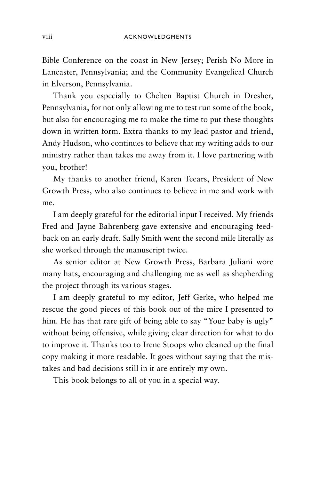Bible Conference on the coast in New Jersey; Perish No More in Lancaster, Pennsylvania; and the Community Evangelical Church in Elverson, Pennsylvania.

Thank you especially to Chelten Baptist Church in Dresher, Pennsylvania, for not only allowing me to test run some of the book, but also for encouraging me to make the time to put these thoughts down in written form. Extra thanks to my lead pastor and friend, Andy Hudson, who continues to believe that my writing adds to our ministry rather than takes me away from it. I love partnering with you, brother!

My thanks to another friend, Karen Teears, President of New Growth Press, who also continues to believe in me and work with me.

I am deeply grateful for the editorial input I received. My friends Fred and Jayne Bahrenberg gave extensive and encouraging feedback on an early draft. Sally Smith went the second mile literally as she worked through the manuscript twice.

As senior editor at New Growth Press, Barbara Juliani wore many hats, encouraging and challenging me as well as shepherding the project through its various stages.

I am deeply grateful to my editor, Jeff Gerke, who helped me rescue the good pieces of this book out of the mire I presented to him. He has that rare gift of being able to say "Your baby is ugly" without being offensive, while giving clear direction for what to do to improve it. Thanks too to Irene Stoops who cleaned up the final copy making it more readable. It goes without saying that the mistakes and bad decisions still in it are entirely my own.

This book belongs to all of you in a special way.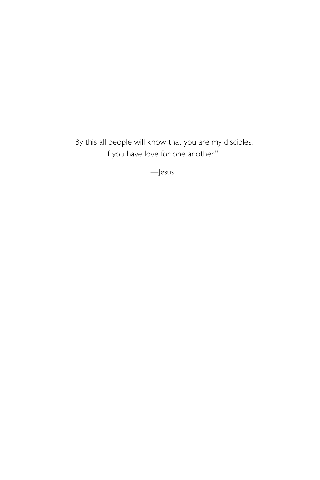"By this all people will know that you are my disciples, if you have love for one another."

—Jesus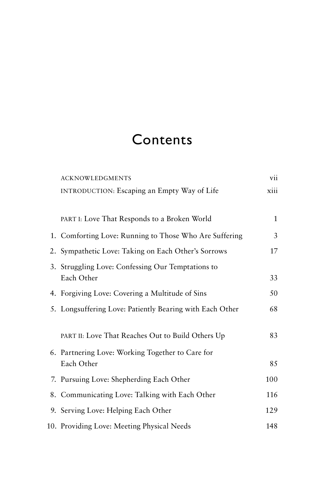### **Contents**

| <b>ACKNOWLEDGMENTS</b>                                   | VII          |
|----------------------------------------------------------|--------------|
| INTRODUCTION: Escaping an Empty Way of Life              | xiii         |
|                                                          |              |
| PART I: Love That Responds to a Broken World             | $\mathbf{1}$ |
| 1. Comforting Love: Running to Those Who Are Suffering   | 3            |
| 2. Sympathetic Love: Taking on Each Other's Sorrows      | 17           |
| 3. Struggling Love: Confessing Our Temptations to        |              |
| Each Other                                               | 33           |
| 4. Forgiving Love: Covering a Multitude of Sins          | 50           |
| 5. Longsuffering Love: Patiently Bearing with Each Other | 68           |
|                                                          |              |
| PART II: Love That Reaches Out to Build Others Up        | 83           |
| 6. Partnering Love: Working Together to Care for         |              |
| Each Other                                               | 85           |
| 7. Pursuing Love: Shepherding Each Other                 | 100          |
| 8. Communicating Love: Talking with Each Other           | 116          |
| 9. Serving Love: Helping Each Other                      | 129          |
| 10. Providing Love: Meeting Physical Needs               | 148          |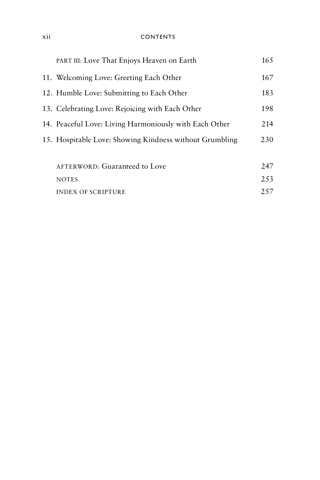xii contents

| PART III: Love That Enjoys Heaven on Earth              | 165  |
|---------------------------------------------------------|------|
| 11. Welcoming Love: Greeting Each Other                 | 167  |
| 12. Humble Love: Submitting to Each Other               | 183  |
| 13. Celebrating Love: Rejoicing with Each Other         | 198  |
| 14. Peaceful Love: Living Harmoniously with Each Other  | 214  |
| 15. Hospitable Love: Showing Kindness without Grumbling | 230  |
|                                                         |      |
| <b>AFTERWORD: Guaranteed to Love</b>                    | 247  |
| <b>NOTES</b>                                            | 2.53 |
| <b>INDEX OF SCRIPTURE</b>                               | 2.57 |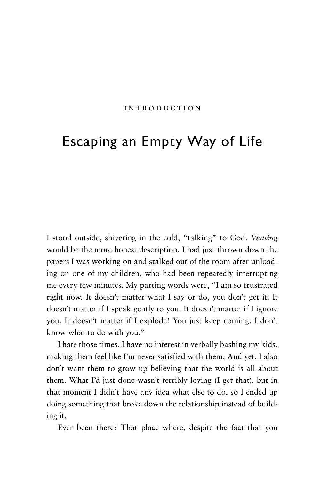#### introduction

### Escaping an Empty Way of Life

I stood outside, shivering in the cold, "talking" to God. *Venting* would be the more honest description. I had just thrown down the papers I was working on and stalked out of the room after unloading on one of my children, who had been repeatedly interrupting me every few minutes. My parting words were, "I am so frustrated right now. It doesn't matter what I say or do, you don't get it. It doesn't matter if I speak gently to you. It doesn't matter if I ignore you. It doesn't matter if I explode! You just keep coming. I don't know what to do with you."

I hate those times. I have no interest in verbally bashing my kids, making them feel like I'm never satisfied with them. And yet, I also don't want them to grow up believing that the world is all about them. What I'd just done wasn't terribly loving (I get that), but in that moment I didn't have any idea what else to do, so I ended up doing something that broke down the relationship instead of building it.

Ever been there? That place where, despite the fact that you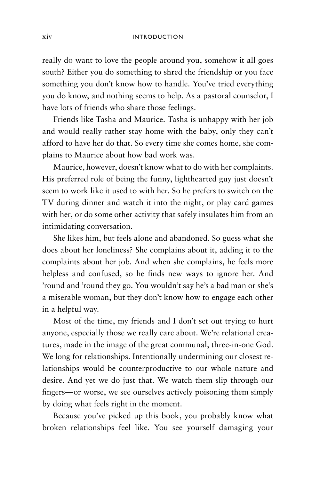xiv introduction

really do want to love the people around you, somehow it all goes south? Either you do something to shred the friendship or you face something you don't know how to handle. You've tried everything you do know, and nothing seems to help. As a pastoral counselor, I have lots of friends who share those feelings.

Friends like Tasha and Maurice. Tasha is unhappy with her job and would really rather stay home with the baby, only they can't afford to have her do that. So every time she comes home, she complains to Maurice about how bad work was.

Maurice, however, doesn't know what to do with her complaints. His preferred role of being the funny, lighthearted guy just doesn't seem to work like it used to with her. So he prefers to switch on the TV during dinner and watch it into the night, or play card games with her, or do some other activity that safely insulates him from an intimidating conversation.

She likes him, but feels alone and abandoned. So guess what she does about her loneliness? She complains about it, adding it to the complaints about her job. And when she complains, he feels more helpless and confused, so he finds new ways to ignore her. And 'round and 'round they go. You wouldn't say he's a bad man or she's a miserable woman, but they don't know how to engage each other in a helpful way.

Most of the time, my friends and I don't set out trying to hurt anyone, especially those we really care about. We're relational creatures, made in the image of the great communal, three-in-one God. We long for relationships. Intentionally undermining our closest relationships would be counterproductive to our whole nature and desire. And yet we do just that. We watch them slip through our fingers—or worse, we see ourselves actively poisoning them simply by doing what feels right in the moment.

Because you've picked up this book, you probably know what broken relationships feel like. You see yourself damaging your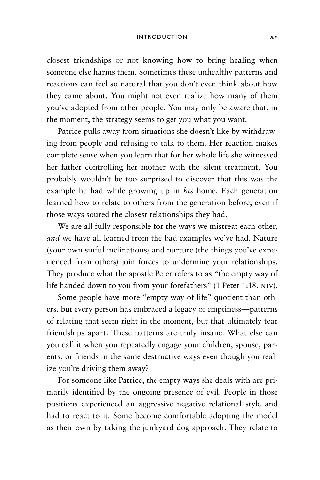#### introduction xv

closest friendships or not knowing how to bring healing when someone else harms them. Sometimes these unhealthy patterns and reactions can feel so natural that you don't even think about how they came about. You might not even realize how many of them you've adopted from other people. You may only be aware that, in the moment, the strategy seems to get you what you want.

Patrice pulls away from situations she doesn't like by withdrawing from people and refusing to talk to them. Her reaction makes complete sense when you learn that for her whole life she witnessed her father controlling her mother with the silent treatment. You probably wouldn't be too surprised to discover that this was the example he had while growing up in *his* home. Each generation learned how to relate to others from the generation before, even if those ways soured the closest relationships they had.

We are all fully responsible for the ways we mistreat each other, *and* we have all learned from the bad examples we've had. Nature (your own sinful inclinations) and nurture (the things you've experienced from others) join forces to undermine your relationships. They produce what the apostle Peter refers to as "the empty way of life handed down to you from your forefathers" (1 Peter 1:18, niv).

Some people have more "empty way of life" quotient than others, but every person has embraced a legacy of emptiness—patterns of relating that seem right in the moment, but that ultimately tear friendships apart. These patterns are truly insane. What else can you call it when you repeatedly engage your children, spouse, parents, or friends in the same destructive ways even though you realize you're driving them away?

For someone like Patrice, the empty ways she deals with are primarily identified by the ongoing presence of evil. People in those positions experienced an aggressive negative relational style and had to react to it. Some become comfortable adopting the model as their own by taking the junkyard dog approach. They relate to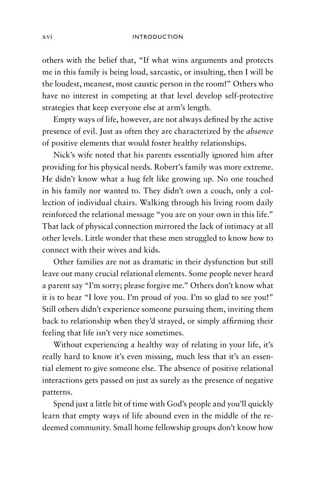xvi INTRODUCTION

others with the belief that, "If what wins arguments and protects me in this family is being loud, sarcastic, or insulting, then I will be the loudest, meanest, most caustic person in the room!" Others who have no interest in competing at that level develop self-protective strategies that keep everyone else at arm's length.

Empty ways of life, however, are not always defined by the active presence of evil. Just as often they are characterized by the *absence* of positive elements that would foster healthy relationships.

Nick's wife noted that his parents essentially ignored him after providing for his physical needs. Robert's family was more extreme. He didn't know what a hug felt like growing up. No one touched in his family nor wanted to. They didn't own a couch, only a collection of individual chairs. Walking through his living room daily reinforced the relational message "you are on your own in this life." That lack of physical connection mirrored the lack of intimacy at all other levels. Little wonder that these men struggled to know how to connect with their wives and kids.

Other families are not as dramatic in their dysfunction but still leave out many crucial relational elements. Some people never heard a parent say "I'm sorry; please forgive me." Others don't know what it is to hear "I love you. I'm proud of you. I'm so glad to see you!" Still others didn't experience someone pursuing them, inviting them back to relationship when they'd strayed, or simply affirming their feeling that life isn't very nice sometimes.

Without experiencing a healthy way of relating in your life, it's really hard to know it's even missing, much less that it's an essential element to give someone else. The absence of positive relational interactions gets passed on just as surely as the presence of negative patterns.

Spend just a little bit of time with God's people and you'll quickly learn that empty ways of life abound even in the middle of the redeemed community. Small home fellowship groups don't know how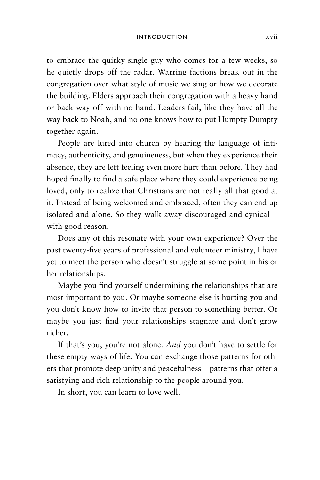introduction xvii

to embrace the quirky single guy who comes for a few weeks, so he quietly drops off the radar. Warring factions break out in the congregation over what style of music we sing or how we decorate the building. Elders approach their congregation with a heavy hand or back way off with no hand. Leaders fail, like they have all the way back to Noah, and no one knows how to put Humpty Dumpty together again.

People are lured into church by hearing the language of intimacy, authenticity, and genuineness, but when they experience their absence, they are left feeling even more hurt than before. They had hoped finally to find a safe place where they could experience being loved, only to realize that Christians are not really all that good at it. Instead of being welcomed and embraced, often they can end up isolated and alone. So they walk away discouraged and cynical with good reason.

Does any of this resonate with your own experience? Over the past twenty-five years of professional and volunteer ministry, I have yet to meet the person who doesn't struggle at some point in his or her relationships.

Maybe you find yourself undermining the relationships that are most important to you. Or maybe someone else is hurting you and you don't know how to invite that person to something better. Or maybe you just find your relationships stagnate and don't grow richer.

If that's you, you're not alone. *And* you don't have to settle for these empty ways of life. You can exchange those patterns for others that promote deep unity and peacefulness—patterns that offer a satisfying and rich relationship to the people around you.

In short, you can learn to love well.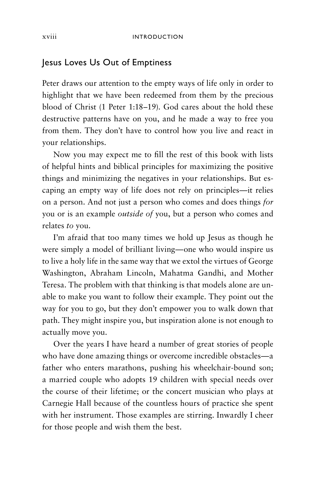#### Jesus Loves Us Out of Emptiness

Peter draws our attention to the empty ways of life only in order to highlight that we have been redeemed from them by the precious blood of Christ (1 Peter 1:18–19). God cares about the hold these destructive patterns have on you, and he made a way to free you from them. They don't have to control how you live and react in your relationships.

Now you may expect me to fill the rest of this book with lists of helpful hints and biblical principles for maximizing the positive things and minimizing the negatives in your relationships. But escaping an empty way of life does not rely on principles—it relies on a person. And not just a person who comes and does things *for* you or is an example *outside of* you, but a person who comes and relates *to* you.

I'm afraid that too many times we hold up Jesus as though he were simply a model of brilliant living—one who would inspire us to live a holy life in the same way that we extol the virtues of George Washington, Abraham Lincoln, Mahatma Gandhi, and Mother Teresa. The problem with that thinking is that models alone are unable to make you want to follow their example. They point out the way for you to go, but they don't empower you to walk down that path. They might inspire you, but inspiration alone is not enough to actually move you.

Over the years I have heard a number of great stories of people who have done amazing things or overcome incredible obstacles—a father who enters marathons, pushing his wheelchair-bound son; a married couple who adopts 19 children with special needs over the course of their lifetime; or the concert musician who plays at Carnegie Hall because of the countless hours of practice she spent with her instrument. Those examples are stirring. Inwardly I cheer for those people and wish them the best.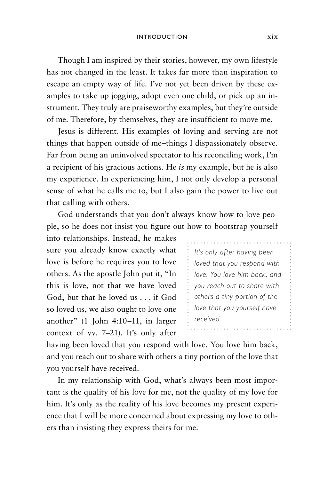introduction xix

Though I am inspired by their stories, however, my own lifestyle has not changed in the least. It takes far more than inspiration to escape an empty way of life. I've not yet been driven by these examples to take up jogging, adopt even one child, or pick up an instrument. They truly are praiseworthy examples, but they're outside of me. Therefore, by themselves, they are insufficient to move me.

Jesus is different. His examples of loving and serving are not things that happen outside of me–things I dispassionately observe. Far from being an uninvolved spectator to his reconciling work, I'm a recipient of his gracious actions. He *is* my example, but he is also my experience. In experiencing him, I not only develop a personal sense of what he calls me to, but I also gain the power to live out that calling with others.

God understands that you don't always know how to love people, so he does not insist you figure out how to bootstrap yourself

into relationships. Instead, he makes sure you already know exactly what love is before he requires you to love others. As the apostle John put it, "In this is love, not that we have loved God, but that he loved us . . . if God so loved us, we also ought to love one another" (1 John 4:10–11, in larger context of vv. 7–21). It's only after

*It's only after having been loved that you respond with love. You love him back, and you reach out to share with others a tiny portion of the love that you yourself have received.*

having been loved that you respond with love. You love him back, and you reach out to share with others a tiny portion of the love that you yourself have received.

In my relationship with God, what's always been most important is the quality of his love for me, not the quality of my love for him. It's only as the reality of his love becomes my present experience that I will be more concerned about expressing my love to others than insisting they express theirs for me.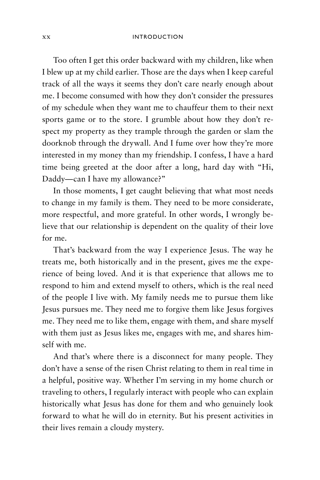Too often I get this order backward with my children, like when I blew up at my child earlier. Those are the days when I keep careful track of all the ways it seems they don't care nearly enough about me. I become consumed with how they don't consider the pressures of my schedule when they want me to chauffeur them to their next sports game or to the store. I grumble about how they don't respect my property as they trample through the garden or slam the doorknob through the drywall. And I fume over how they're more interested in my money than my friendship. I confess, I have a hard time being greeted at the door after a long, hard day with "Hi, Daddy—can I have my allowance?"

In those moments, I get caught believing that what most needs to change in my family is them. They need to be more considerate, more respectful, and more grateful. In other words, I wrongly believe that our relationship is dependent on the quality of their love for me.

That's backward from the way I experience Jesus. The way he treats me, both historically and in the present, gives me the experience of being loved. And it is that experience that allows me to respond to him and extend myself to others, which is the real need of the people I live with. My family needs me to pursue them like Jesus pursues me. They need me to forgive them like Jesus forgives me. They need me to like them, engage with them, and share myself with them just as Jesus likes me, engages with me, and shares himself with me.

And that's where there is a disconnect for many people. They don't have a sense of the risen Christ relating to them in real time in a helpful, positive way. Whether I'm serving in my home church or traveling to others, I regularly interact with people who can explain historically what Jesus has done for them and who genuinely look forward to what he will do in eternity. But his present activities in their lives remain a cloudy mystery.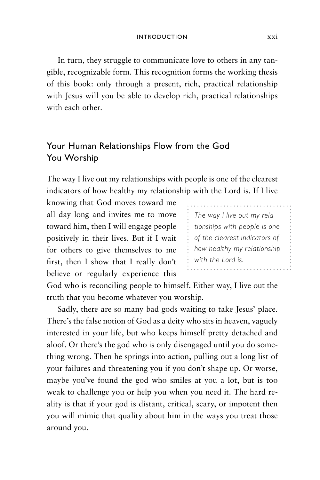introduction xxi

In turn, they struggle to communicate love to others in any tangible, recognizable form. This recognition forms the working thesis of this book: only through a present, rich, practical relationship with Jesus will you be able to develop rich, practical relationships with each other.

#### Your Human Relationships Flow from the God You Worship

The way I live out my relationships with people is one of the clearest indicators of how healthy my relationship with the Lord is. If I live

knowing that God moves toward me all day long and invites me to move toward him, then I will engage people positively in their lives. But if I wait for others to give themselves to me first, then I show that I really don't believe or regularly experience this

| The way I live out my rela-   |
|-------------------------------|
| tionships with people is one  |
| of the clearest indicators of |
| how healthy my relationship   |
| with the Lord is.             |
|                               |

God who is reconciling people to himself. Either way, I live out the truth that you become whatever you worship.

Sadly, there are so many bad gods waiting to take Jesus' place. There's the false notion of God as a deity who sits in heaven, vaguely interested in your life, but who keeps himself pretty detached and aloof. Or there's the god who is only disengaged until you do something wrong. Then he springs into action, pulling out a long list of your failures and threatening you if you don't shape up. Or worse, maybe you've found the god who smiles at you a lot, but is too weak to challenge you or help you when you need it. The hard reality is that if your god is distant, critical, scary, or impotent then you will mimic that quality about him in the ways you treat those around you.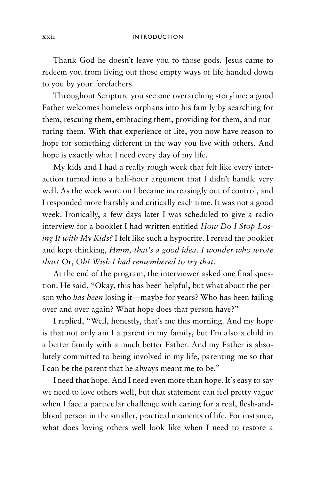Thank God he doesn't leave you to those gods. Jesus came to redeem you from living out those empty ways of life handed down to you by your forefathers.

Throughout Scripture you see one overarching storyline: a good Father welcomes homeless orphans into his family by searching for them, rescuing them, embracing them, providing for them, and nurturing them. With that experience of life, you now have reason to hope for something different in the way you live with others. And hope is exactly what I need every day of my life.

My kids and I had a really rough week that felt like every interaction turned into a half-hour argument that I didn't handle very well. As the week wore on I became increasingly out of control, and I responded more harshly and critically each time. It was not a good week. Ironically, a few days later I was scheduled to give a radio interview for a booklet I had written entitled *How Do I Stop Losing It with My Kids?* I felt like such a hypocrite. I reread the booklet and kept thinking, *Hmm, that's a good idea. I wonder who wrote that?* Or, *Oh! Wish I had remembered to try that.*

At the end of the program, the interviewer asked one final question. He said, "Okay, this has been helpful, but what about the person who *has been* losing it—maybe for years? Who has been failing over and over again? What hope does that person have?"

I replied, "Well, honestly, that's me this morning. And my hope is that not only am I a parent in my family, but I'm also a child in a better family with a much better Father. And my Father is absolutely committed to being involved in my life, parenting me so that I can be the parent that he always meant me to be."

I need that hope. And I need even more than hope. It's easy to say we need to love others well, but that statement can feel pretty vague when I face a particular challenge with caring for a real, flesh-andblood person in the smaller, practical moments of life. For instance, what does loving others well look like when I need to restore a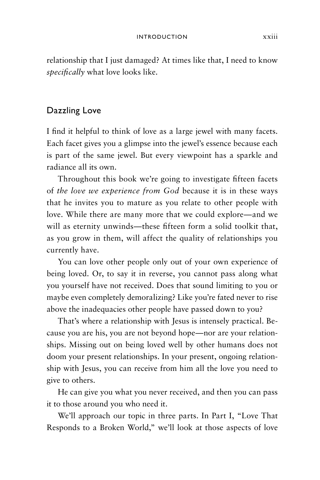relationship that I just damaged? At times like that, I need to know *specifically* what love looks like.

#### Dazzling Love

I find it helpful to think of love as a large jewel with many facets. Each facet gives you a glimpse into the jewel's essence because each is part of the same jewel. But every viewpoint has a sparkle and radiance all its own.

Throughout this book we're going to investigate fifteen facets of *the love we experience from God* because it is in these ways that he invites you to mature as you relate to other people with love. While there are many more that we could explore—and we will as eternity unwinds—these fifteen form a solid toolkit that, as you grow in them, will affect the quality of relationships you currently have.

You can love other people only out of your own experience of being loved. Or, to say it in reverse, you cannot pass along what you yourself have not received. Does that sound limiting to you or maybe even completely demoralizing? Like you're fated never to rise above the inadequacies other people have passed down to you?

That's where a relationship with Jesus is intensely practical. Because you are his, you are not beyond hope—nor are your relationships. Missing out on being loved well by other humans does not doom your present relationships. In your present, ongoing relationship with Jesus, you can receive from him all the love you need to give to others.

He can give you what you never received, and then you can pass it to those around you who need it.

We'll approach our topic in three parts. In Part I, "Love That Responds to a Broken World," we'll look at those aspects of love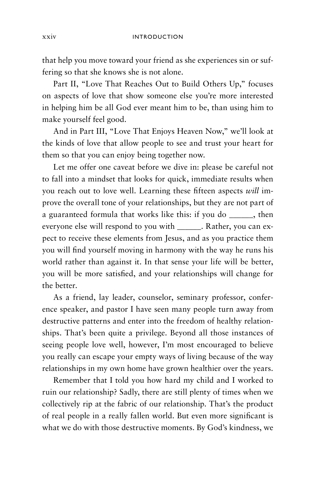that help you move toward your friend as she experiences sin or suffering so that she knows she is not alone.

Part II, "Love That Reaches Out to Build Others Up," focuses on aspects of love that show someone else you're more interested in helping him be all God ever meant him to be, than using him to make yourself feel good.

And in Part III, "Love That Enjoys Heaven Now," we'll look at the kinds of love that allow people to see and trust your heart for them so that you can enjoy being together now.

Let me offer one caveat before we dive in: please be careful not to fall into a mindset that looks for quick, immediate results when you reach out to love well. Learning these fifteen aspects *will* improve the overall tone of your relationships, but they are not part of a guaranteed formula that works like this: if you do \_\_\_\_\_\_, then everyone else will respond to you with . Rather, you can expect to receive these elements from Jesus, and as you practice them you will find yourself moving in harmony with the way he runs his world rather than against it. In that sense your life will be better, you will be more satisfied, and your relationships will change for the better.

As a friend, lay leader, counselor, seminary professor, conference speaker, and pastor I have seen many people turn away from destructive patterns and enter into the freedom of healthy relationships. That's been quite a privilege. Beyond all those instances of seeing people love well, however, I'm most encouraged to believe you really can escape your empty ways of living because of the way relationships in my own home have grown healthier over the years.

Remember that I told you how hard my child and I worked to ruin our relationship? Sadly, there are still plenty of times when we collectively rip at the fabric of our relationship. That's the product of real people in a really fallen world. But even more significant is what we do with those destructive moments. By God's kindness, we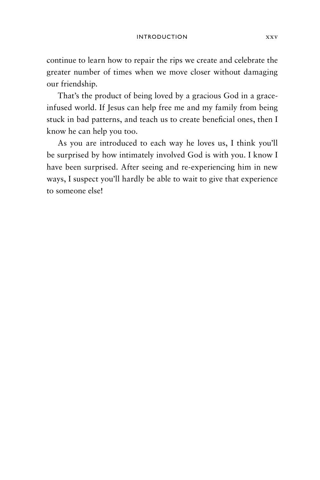continue to learn how to repair the rips we create and celebrate the greater number of times when we move closer without damaging our friendship.

That's the product of being loved by a gracious God in a graceinfused world. If Jesus can help free me and my family from being stuck in bad patterns, and teach us to create beneficial ones, then I know he can help you too.

As you are introduced to each way he loves us, I think you'll be surprised by how intimately involved God is with you. I know I have been surprised. After seeing and re-experiencing him in new ways, I suspect you'll hardly be able to wait to give that experience to someone else!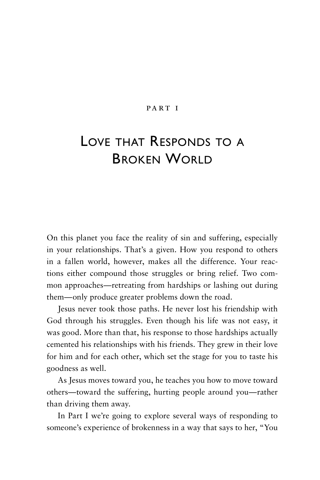#### part i

### Love that Responds to a **BROKEN WORLD**

On this planet you face the reality of sin and suffering, especially in your relationships. That's a given. How you respond to others in a fallen world, however, makes all the difference. Your reactions either compound those struggles or bring relief. Two common approaches—retreating from hardships or lashing out during them—only produce greater problems down the road.

Jesus never took those paths. He never lost his friendship with God through his struggles. Even though his life was not easy, it was good. More than that, his response to those hardships actually cemented his relationships with his friends. They grew in their love for him and for each other, which set the stage for you to taste his goodness as well.

As Jesus moves toward you, he teaches you how to move toward others—toward the suffering, hurting people around you—rather than driving them away.

In Part I we're going to explore several ways of responding to someone's experience of brokenness in a way that says to her, "You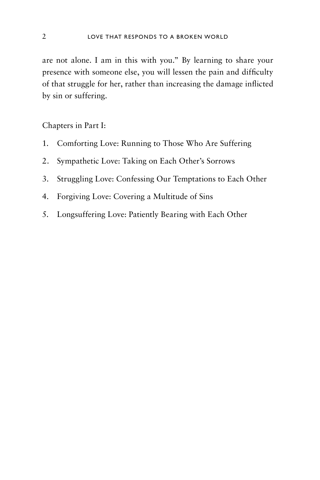are not alone. I am in this with you." By learning to share your presence with someone else, you will lessen the pain and difficulty of that struggle for her, rather than increasing the damage inflicted by sin or suffering.

Chapters in Part I:

- 1. Comforting Love: Running to Those Who Are Suffering
- 2. Sympathetic Love: Taking on Each Other's Sorrows
- 3. Struggling Love: Confessing Our Temptations to Each Other
- 4. Forgiving Love: Covering a Multitude of Sins
- 5. Longsuffering Love: Patiently Bearing with Each Other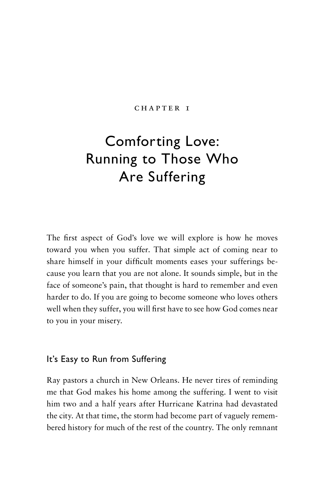#### chapter 1

### Comforting Love: Running to Those Who Are Suffering

The first aspect of God's love we will explore is how he moves toward you when you suffer. That simple act of coming near to share himself in your difficult moments eases your sufferings because you learn that you are not alone. It sounds simple, but in the face of someone's pain, that thought is hard to remember and even harder to do. If you are going to become someone who loves others well when they suffer, you will first have to see how God comes near to you in your misery.

#### It's Easy to Run from Suffering

Ray pastors a church in New Orleans. He never tires of reminding me that God makes his home among the suffering. I went to visit him two and a half years after Hurricane Katrina had devastated the city. At that time, the storm had become part of vaguely remembered history for much of the rest of the country. The only remnant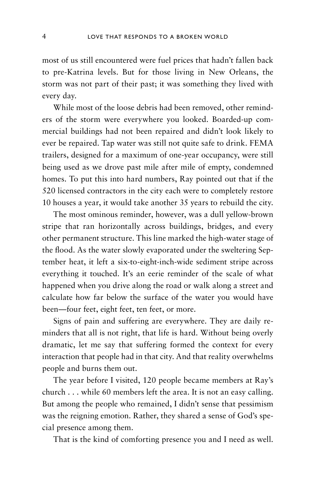most of us still encountered were fuel prices that hadn't fallen back to pre-Katrina levels. But for those living in New Orleans, the storm was not part of their past; it was something they lived with every day.

While most of the loose debris had been removed, other reminders of the storm were everywhere you looked. Boarded-up commercial buildings had not been repaired and didn't look likely to ever be repaired. Tap water was still not quite safe to drink. FEMA trailers, designed for a maximum of one-year occupancy, were still being used as we drove past mile after mile of empty, condemned homes. To put this into hard numbers, Ray pointed out that if the 520 licensed contractors in the city each were to completely restore 10 houses a year, it would take another 35 years to rebuild the city.

The most ominous reminder, however, was a dull yellow-brown stripe that ran horizontally across buildings, bridges, and every other permanent structure. This line marked the high-water stage of the flood. As the water slowly evaporated under the sweltering September heat, it left a six-to-eight-inch-wide sediment stripe across everything it touched. It's an eerie reminder of the scale of what happened when you drive along the road or walk along a street and calculate how far below the surface of the water you would have been—four feet, eight feet, ten feet, or more.

Signs of pain and suffering are everywhere. They are daily reminders that all is not right, that life is hard. Without being overly dramatic, let me say that suffering formed the context for every interaction that people had in that city. And that reality overwhelms people and burns them out.

The year before I visited, 120 people became members at Ray's church . . . while 60 members left the area. It is not an easy calling. But among the people who remained, I didn't sense that pessimism was the reigning emotion. Rather, they shared a sense of God's special presence among them.

That is the kind of comforting presence you and I need as well.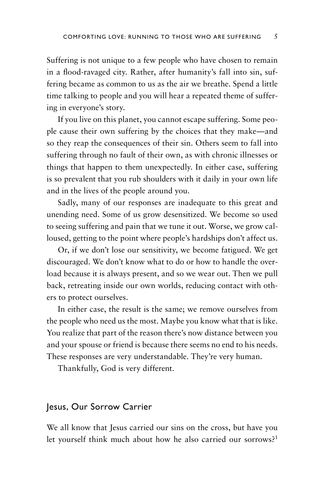Suffering is not unique to a few people who have chosen to remain in a flood-ravaged city. Rather, after humanity's fall into sin, suffering became as common to us as the air we breathe. Spend a little time talking to people and you will hear a repeated theme of suffering in everyone's story.

If you live on this planet, you cannot escape suffering. Some people cause their own suffering by the choices that they make—and so they reap the consequences of their sin. Others seem to fall into suffering through no fault of their own, as with chronic illnesses or things that happen to them unexpectedly. In either case, suffering is so prevalent that you rub shoulders with it daily in your own life and in the lives of the people around you.

Sadly, many of our responses are inadequate to this great and unending need. Some of us grow desensitized. We become so used to seeing suffering and pain that we tune it out. Worse, we grow calloused, getting to the point where people's hardships don't affect us.

Or, if we don't lose our sensitivity, we become fatigued. We get discouraged. We don't know what to do or how to handle the overload because it is always present, and so we wear out. Then we pull back, retreating inside our own worlds, reducing contact with others to protect ourselves.

In either case, the result is the same; we remove ourselves from the people who need us the most. Maybe you know what that is like. You realize that part of the reason there's now distance between you and your spouse or friend is because there seems no end to his needs. These responses are very understandable. They're very human.

Thankfully, God is very different.

#### Jesus, Our Sorrow Carrier

We all know that Jesus carried our sins on the cross, but have you let yourself think much about how he also carried our sorrows?<sup>1</sup>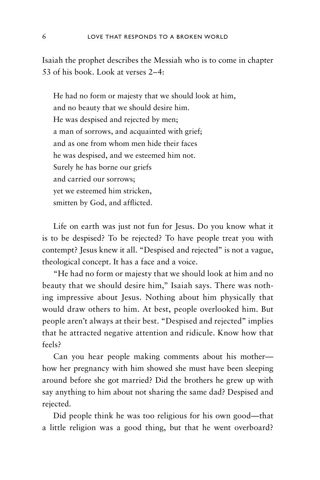Isaiah the prophet describes the Messiah who is to come in chapter 53 of his book. Look at verses 2–4:

He had no form or majesty that we should look at him, and no beauty that we should desire him. He was despised and rejected by men; a man of sorrows, and acquainted with grief; and as one from whom men hide their faces he was despised, and we esteemed him not. Surely he has borne our griefs and carried our sorrows; yet we esteemed him stricken, smitten by God, and afflicted.

Life on earth was just not fun for Jesus. Do you know what it is to be despised? To be rejected? To have people treat you with contempt? Jesus knew it all. "Despised and rejected" is not a vague, theological concept. It has a face and a voice.

"He had no form or majesty that we should look at him and no beauty that we should desire him," Isaiah says. There was nothing impressive about Jesus. Nothing about him physically that would draw others to him. At best, people overlooked him. But people aren't always at their best. "Despised and rejected" implies that he attracted negative attention and ridicule. Know how that feels?

Can you hear people making comments about his mother how her pregnancy with him showed she must have been sleeping around before she got married? Did the brothers he grew up with say anything to him about not sharing the same dad? Despised and rejected.

Did people think he was too religious for his own good—that a little religion was a good thing, but that he went overboard?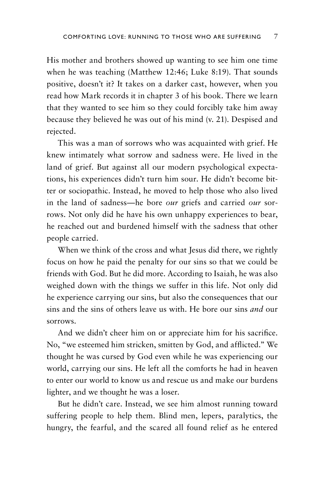His mother and brothers showed up wanting to see him one time when he was teaching (Matthew 12:46; Luke 8:19). That sounds positive, doesn't it? It takes on a darker cast, however, when you read how Mark records it in chapter 3 of his book. There we learn that they wanted to see him so they could forcibly take him away because they believed he was out of his mind (v. 21). Despised and rejected.

This was a man of sorrows who was acquainted with grief. He knew intimately what sorrow and sadness were. He lived in the land of grief. But against all our modern psychological expectations, his experiences didn't turn him sour. He didn't become bitter or sociopathic. Instead, he moved to help those who also lived in the land of sadness—he bore *our* griefs and carried *our* sorrows. Not only did he have his own unhappy experiences to bear, he reached out and burdened himself with the sadness that other people carried.

When we think of the cross and what Jesus did there, we rightly focus on how he paid the penalty for our sins so that we could be friends with God. But he did more. According to Isaiah, he was also weighed down with the things we suffer in this life. Not only did he experience carrying our sins, but also the consequences that our sins and the sins of others leave us with. He bore our sins *and* our sorrows.

And we didn't cheer him on or appreciate him for his sacrifice. No, "we esteemed him stricken, smitten by God, and afflicted." We thought he was cursed by God even while he was experiencing our world, carrying our sins. He left all the comforts he had in heaven to enter our world to know us and rescue us and make our burdens lighter, and we thought he was a loser.

But he didn't care. Instead, we see him almost running toward suffering people to help them. Blind men, lepers, paralytics, the hungry, the fearful, and the scared all found relief as he entered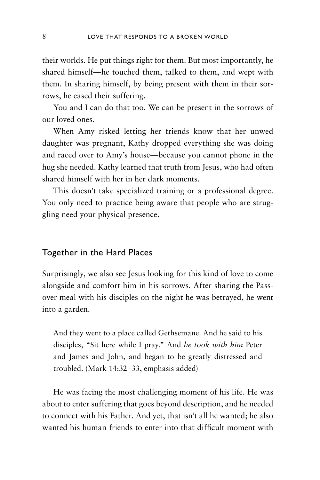their worlds. He put things right for them. But most importantly, he shared himself—he touched them, talked to them, and wept with them. In sharing himself, by being present with them in their sorrows, he eased their suffering.

You and I can do that too. We can be present in the sorrows of our loved ones.

When Amy risked letting her friends know that her unwed daughter was pregnant, Kathy dropped everything she was doing and raced over to Amy's house—because you cannot phone in the hug she needed. Kathy learned that truth from Jesus, who had often shared himself with her in her dark moments.

This doesn't take specialized training or a professional degree. You only need to practice being aware that people who are struggling need your physical presence.

#### Together in the Hard Places

Surprisingly, we also see Jesus looking for this kind of love to come alongside and comfort him in his sorrows. After sharing the Passover meal with his disciples on the night he was betrayed, he went into a garden.

And they went to a place called Gethsemane. And he said to his disciples, "Sit here while I pray." And *he took with him* Peter and James and John, and began to be greatly distressed and troubled. (Mark 14:32–33, emphasis added)

He was facing the most challenging moment of his life. He was about to enter suffering that goes beyond description, and he needed to connect with his Father. And yet, that isn't all he wanted; he also wanted his human friends to enter into that difficult moment with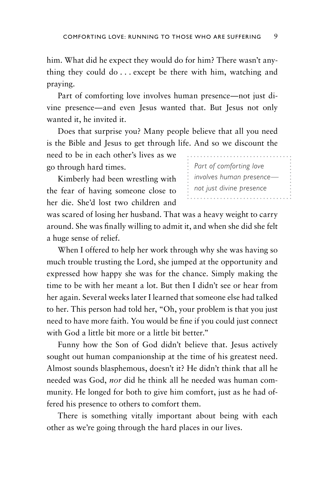him. What did he expect they would do for him? There wasn't anything they could do . . . except be there with him, watching and praying.

Part of comforting love involves human presence—not just divine presence—and even Jesus wanted that. But Jesus not only wanted it, he invited it.

Does that surprise you? Many people believe that all you need is the Bible and Jesus to get through life. And so we discount the

need to be in each other's lives as we go through hard times.

Kimberly had been wrestling with the fear of having someone close to her die. She'd lost two children and

was scared of losing her husband. That was a heavy weight to carry around. She was finally willing to admit it, and when she did she felt a huge sense of relief.

When I offered to help her work through why she was having so much trouble trusting the Lord, she jumped at the opportunity and expressed how happy she was for the chance. Simply making the time to be with her meant a lot. But then I didn't see or hear from her again. Several weeks later I learned that someone else had talked to her. This person had told her, "Oh, your problem is that you just need to have more faith. You would be fine if you could just connect with God a little bit more or a little bit better."

Funny how the Son of God didn't believe that. Jesus actively sought out human companionship at the time of his greatest need. Almost sounds blasphemous, doesn't it? He didn't think that all he needed was God, *nor* did he think all he needed was human community. He longed for both to give him comfort, just as he had offered his presence to others to comfort them.

There is something vitally important about being with each other as we're going through the hard places in our lives.

*Part of comforting love involves human presence not just divine presence*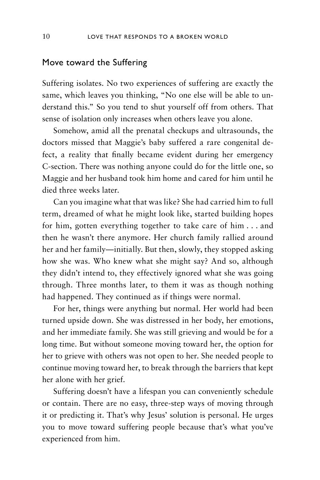#### Move toward the Suffering

Suffering isolates. No two experiences of suffering are exactly the same, which leaves you thinking, "No one else will be able to understand this." So you tend to shut yourself off from others. That sense of isolation only increases when others leave you alone.

Somehow, amid all the prenatal checkups and ultrasounds, the doctors missed that Maggie's baby suffered a rare congenital defect, a reality that finally became evident during her emergency C-section. There was nothing anyone could do for the little one, so Maggie and her husband took him home and cared for him until he died three weeks later.

Can you imagine what that was like? She had carried him to full term, dreamed of what he might look like, started building hopes for him, gotten everything together to take care of him . . . and then he wasn't there anymore. Her church family rallied around her and her family—initially. But then, slowly, they stopped asking how she was. Who knew what she might say? And so, although they didn't intend to, they effectively ignored what she was going through. Three months later, to them it was as though nothing had happened. They continued as if things were normal.

For her, things were anything but normal. Her world had been turned upside down. She was distressed in her body, her emotions, and her immediate family. She was still grieving and would be for a long time. But without someone moving toward her, the option for her to grieve with others was not open to her. She needed people to continue moving toward her, to break through the barriers that kept her alone with her grief.

Suffering doesn't have a lifespan you can conveniently schedule or contain. There are no easy, three-step ways of moving through it or predicting it. That's why Jesus' solution is personal. He urges you to move toward suffering people because that's what you've experienced from him.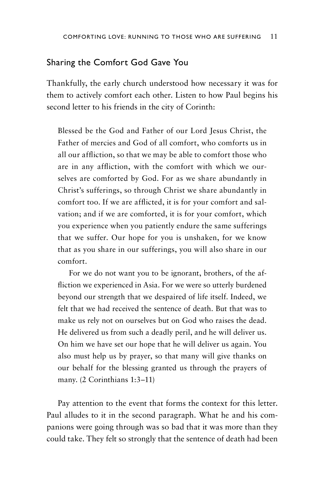#### Sharing the Comfort God Gave You

Thankfully, the early church understood how necessary it was for them to actively comfort each other. Listen to how Paul begins his second letter to his friends in the city of Corinth:

Blessed be the God and Father of our Lord Jesus Christ, the Father of mercies and God of all comfort, who comforts us in all our affliction, so that we may be able to comfort those who are in any affliction, with the comfort with which we ourselves are comforted by God. For as we share abundantly in Christ's sufferings, so through Christ we share abundantly in comfort too. If we are afflicted, it is for your comfort and salvation; and if we are comforted, it is for your comfort, which you experience when you patiently endure the same sufferings that we suffer. Our hope for you is unshaken, for we know that as you share in our sufferings, you will also share in our comfort.

For we do not want you to be ignorant, brothers, of the affliction we experienced in Asia. For we were so utterly burdened beyond our strength that we despaired of life itself. Indeed, we felt that we had received the sentence of death. But that was to make us rely not on ourselves but on God who raises the dead. He delivered us from such a deadly peril, and he will deliver us. On him we have set our hope that he will deliver us again. You also must help us by prayer, so that many will give thanks on our behalf for the blessing granted us through the prayers of many. (2 Corinthians 1:3–11)

Pay attention to the event that forms the context for this letter. Paul alludes to it in the second paragraph. What he and his companions were going through was so bad that it was more than they could take. They felt so strongly that the sentence of death had been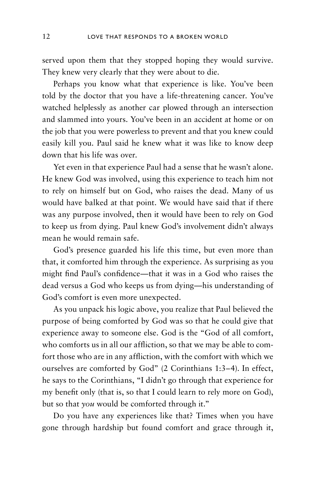served upon them that they stopped hoping they would survive. They knew very clearly that they were about to die.

Perhaps you know what that experience is like. You've been told by the doctor that you have a life-threatening cancer. You've watched helplessly as another car plowed through an intersection and slammed into yours. You've been in an accident at home or on the job that you were powerless to prevent and that you knew could easily kill you. Paul said he knew what it was like to know deep down that his life was over.

Yet even in that experience Paul had a sense that he wasn't alone. He knew God was involved, using this experience to teach him not to rely on himself but on God, who raises the dead. Many of us would have balked at that point. We would have said that if there was any purpose involved, then it would have been to rely on God to keep us from dying. Paul knew God's involvement didn't always mean he would remain safe.

God's presence guarded his life this time, but even more than that, it comforted him through the experience. As surprising as you might find Paul's confidence—that it was in a God who raises the dead versus a God who keeps us from dying—his understanding of God's comfort is even more unexpected.

As you unpack his logic above, you realize that Paul believed the purpose of being comforted by God was so that he could give that experience away to someone else. God is the "God of all comfort, who comforts us in all our affliction, so that we may be able to comfort those who are in any affliction, with the comfort with which we ourselves are comforted by God" (2 Corinthians 1:3–4). In effect, he says to the Corinthians, "I didn't go through that experience for my benefit only (that is, so that I could learn to rely more on God), but so that *you* would be comforted through it."

Do you have any experiences like that? Times when you have gone through hardship but found comfort and grace through it,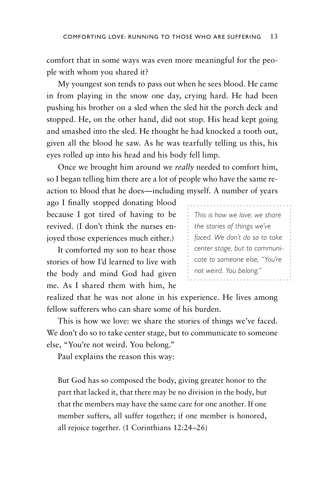comfort that in some ways was even more meaningful for the people with whom you shared it?

My youngest son tends to pass out when he sees blood. He came in from playing in the snow one day, crying hard. He had been pushing his brother on a sled when the sled hit the porch deck and stopped. He, on the other hand, did not stop. His head kept going and smashed into the sled. He thought he had knocked a tooth out, given all the blood he saw. As he was tearfully telling us this, his eyes rolled up into his head and his body fell limp.

Once we brought him around we *really* needed to comfort him, so I began telling him there are a lot of people who have the same reaction to blood that he does—including myself. A number of years

ago I finally stopped donating blood because I got tired of having to be revived. (I don't think the nurses enjoyed those experiences much either.)

It comforted my son to hear those stories of how I'd learned to live with the body and mind God had given me. As I shared them with him, he

| This is how we love: we share |  |  |
|-------------------------------|--|--|
| the stories of things we've   |  |  |
| faced. We don't do so to take |  |  |
| center stage, but to communi- |  |  |
| cate to someone else. "You're |  |  |
| not weird. You belong."       |  |  |
|                               |  |  |

realized that he was not alone in his experience. He lives among fellow sufferers who can share some of his burden.

This is how we love: we share the stories of things we've faced. We don't do so to take center stage, but to communicate to someone else, "You're not weird. You belong."

Paul explains the reason this way:

But God has so composed the body, giving greater honor to the part that lacked it, that there may be no division in the body, but that the members may have the same care for one another. If one member suffers, all suffer together; if one member is honored, all rejoice together. (1 Corinthians 12:24–26)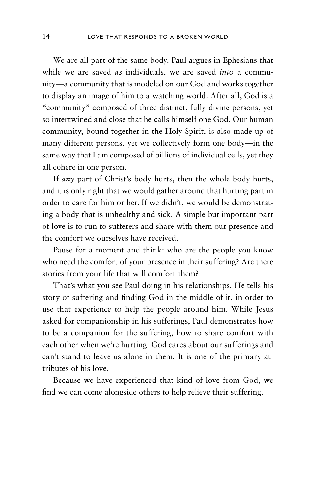We are all part of the same body. Paul argues in Ephesians that while we are saved *as* individuals, we are saved *into* a community—a community that is modeled on our God and works together to display an image of him to a watching world. After all, God is a "community" composed of three distinct, fully divine persons, yet so intertwined and close that he calls himself one God. Our human community, bound together in the Holy Spirit, is also made up of many different persons, yet we collectively form one body—in the same way that I am composed of billions of individual cells, yet they all cohere in one person.

If *any* part of Christ's body hurts, then the whole body hurts, and it is only right that we would gather around that hurting part in order to care for him or her. If we didn't, we would be demonstrating a body that is unhealthy and sick. A simple but important part of love is to run to sufferers and share with them our presence and the comfort we ourselves have received.

Pause for a moment and think: who are the people you know who need the comfort of your presence in their suffering? Are there stories from your life that will comfort them?

That's what you see Paul doing in his relationships. He tells his story of suffering and finding God in the middle of it, in order to use that experience to help the people around him. While Jesus asked for companionship in his sufferings, Paul demonstrates how to be a companion for the suffering, how to share comfort with each other when we're hurting. God cares about our sufferings and can't stand to leave us alone in them. It is one of the primary attributes of his love.

Because we have experienced that kind of love from God, we find we can come alongside others to help relieve their suffering.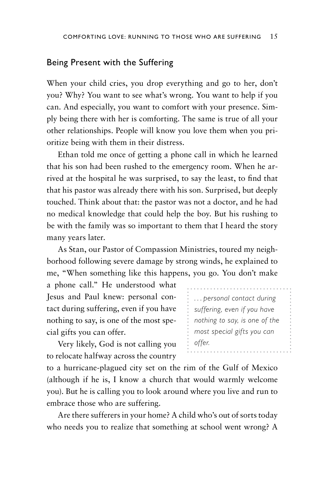#### Being Present with the Suffering

When your child cries, you drop everything and go to her, don't you? Why? You want to see what's wrong. You want to help if you can. And especially, you want to comfort with your presence. Simply being there with her is comforting. The same is true of all your other relationships. People will know you love them when you prioritize being with them in their distress.

Ethan told me once of getting a phone call in which he learned that his son had been rushed to the emergency room. When he arrived at the hospital he was surprised, to say the least, to find that that his pastor was already there with his son. Surprised, but deeply touched. Think about that: the pastor was not a doctor, and he had no medical knowledge that could help the boy. But his rushing to be with the family was so important to them that I heard the story many years later.

As Stan, our Pastor of Compassion Ministries, toured my neighborhood following severe damage by strong winds, he explained to me, "When something like this happens, you go. You don't make

a phone call." He understood what Jesus and Paul knew: personal contact during suffering, even if you have nothing to say, is one of the most special gifts you can offer.

| personal contact during       |
|-------------------------------|
| suffering, even if you have   |
| nothing to say, is one of the |
| most special gifts you can    |
| offer.                        |
|                               |

Very likely, God is not calling you to relocate halfway across the country

to a hurricane-plagued city set on the rim of the Gulf of Mexico (although if he is, I know a church that would warmly welcome you). But he is calling you to look around where you live and run to embrace those who are suffering.

Are there sufferers in your home? A child who's out of sorts today who needs you to realize that something at school went wrong? A